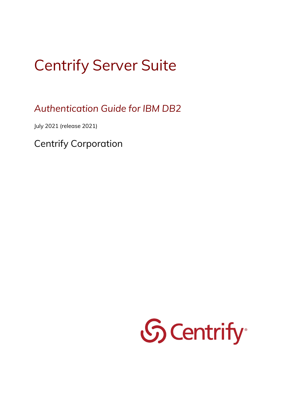# Centrify Server Suite

*Authentication Guide for IBM DB2*

July 2021 (release 2021)

Centrify Corporation

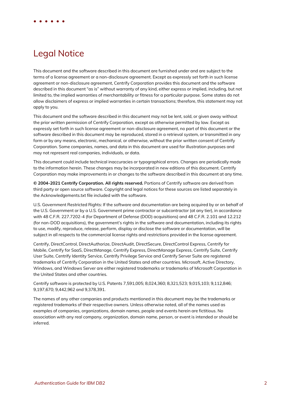# Legal Notice

This document and the software described in this document are furnished under and are subject to the terms of a license agreement or a non-disclosure agreement. Except as expressly set forth in such license agreement or non-disclosure agreement, Centrify Corporation provides this document and the software described in this document "as is" without warranty of any kind, either express or implied, including, but not limited to, the implied warranties of merchantability or fitness for a particular purpose. Some states do not allow disclaimers of express or implied warranties in certain transactions; therefore, this statement may not apply to you.

This document and the software described in this document may not be lent, sold, or given away without the prior written permission of Centrify Corporation, except as otherwise permitted by law. Except as expressly set forth in such license agreement or non-disclosure agreement, no part of this document or the software described in this document may be reproduced, stored in a retrieval system, or transmitted in any form or by any means, electronic, mechanical, or otherwise, without the prior written consent of Centrify Corporation. Some companies, names, and data in this document are used for illustration purposes and may not represent real companies, individuals, or data.

This document could include technical inaccuracies or typographical errors. Changes are periodically made to the information herein. These changes may be incorporated in new editions of this document. Centrify Corporation may make improvements in or changes to the software described in this document at any time.

**© 2004-2021 Centrify Corporation. All rights reserved.** Portions of Centrify software are derived from third party or open source software. Copyright and legal notices for these sources are listed separately in the Acknowledgements.txt file included with the software.

U.S. Government Restricted Rights: If the software and documentation are being acquired by or on behalf of the U.S. Government or by a U.S. Government prime contractor or subcontractor (at any tier), in accordance with 48 C.F.R. 227.7202-4 (for Department of Defense (DOD) acquisitions) and 48 C.F.R. 2.101 and 12.212 (for non-DOD acquisitions), the government's rights in the software and documentation, including its rights to use, modify, reproduce, release, perform, display or disclose the software or documentation, will be subject in all respects to the commercial license rights and restrictions provided in the license agreement.

Centrify, DirectControl, DirectAuthorize, DirectAudit, DirectSecure, DirectControl Express, Centrify for Mobile, Centrify for SaaS, DirectManage, Centrify Express, DirectManage Express, Centrify Suite, Centrify User Suite, Centrify Identity Service, Centrify Privilege Service and Centrify Server Suite are registered trademarks of Centrify Corporation in the United States and other countries. Microsoft, Active Directory, Windows, and Windows Server are either registered trademarks or trademarks of Microsoft Corporation in the United States and other countries.

Centrify software is protected by U.S. Patents 7,591,005; 8,024,360; 8,321,523; 9,015,103; 9,112,846; 9,197,670; 9,442,962 and 9,378,391.

The names of any other companies and products mentioned in this document may be the trademarks or registered trademarks of their respective owners. Unless otherwise noted, all of the names used as examples of companies, organizations, domain names, people and events herein are fictitious. No association with any real company, organization, domain name, person, or event is intended or should be inferred.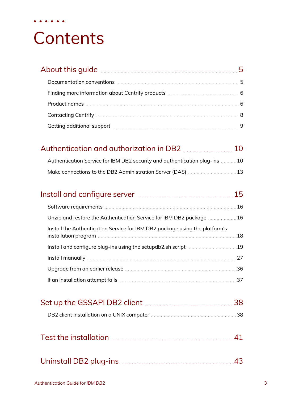# **Contents**

• • • • • •

| About this guide <b>contracts</b> and the set of the set of the set of the set of the set of the set of the set of the |  |
|------------------------------------------------------------------------------------------------------------------------|--|
|                                                                                                                        |  |
|                                                                                                                        |  |
|                                                                                                                        |  |
|                                                                                                                        |  |
| Getting additional support manufacture and an establishment of the support of the support of the support of the        |  |

| Authentication Service for IBM DB2 security and authentication plug-ins 10 |  |
|----------------------------------------------------------------------------|--|

| Unzip and restore the Authentication Service for IBM DB2 package 16         |    |
|-----------------------------------------------------------------------------|----|
| Install the Authentication Service for IBM DB2 package using the platform's | 18 |
| Install and configure plug-ins using the setupdb2.sh script 19              |    |
|                                                                             | 27 |
|                                                                             |    |
|                                                                             | 37 |

| Set up the GSSAPI DB2 client <b>Manual</b> 28 |  |
|-----------------------------------------------|--|
|                                               |  |
|                                               |  |

| Test the installation |  |
|-----------------------|--|
|-----------------------|--|

|--|--|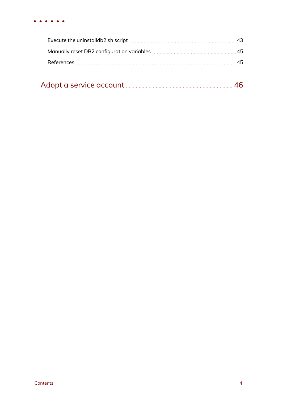| Adopt a service account |  |  |
|-------------------------|--|--|
|-------------------------|--|--|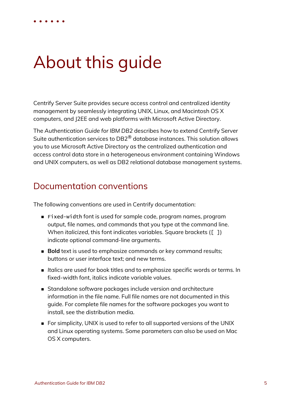# <span id="page-4-0"></span>About this guide

Centrify Server Suite provides secure access control and centralized identity management by seamlessly integrating UNIX, Linux, and Macintosh OS X computers, and J2EE and web platforms with Microsoft Active Directory.

The *Authentication Guide for IBM DB2* describes how to extend Centrify Server Suite authentication services to DB2® database instances. This solution allows you to use Microsoft Active Directory as the centralized authentication and access control data store in a heterogeneous environment containing Windows and UNIX computers, as well as DB2 relational database management systems.

## <span id="page-4-1"></span>Documentation conventions

The following conventions are used in Centrify documentation:

- <sup>n</sup> Fixed-width font is used for sample code, program names, program output, file names, and commands that you type at the command line. When *italicized*, this font indicates variables. Square brackets ([10, 1]) indicate optional command-line arguments.
- **Bold** text is used to emphasize commands or key command results; buttons or user interface text; and new terms.
- <sup>n</sup> *Italics* are used for book titles and to emphasize specific words or terms. In fixed-width font, italics indicate variable values.
- n Standalone software packages include version and architecture information in the file name. Full file names are not documented in this guide. For complete file names for the software packages you want to install, see the distribution media.
- For simplicity, UNIX is used to refer to all supported versions of the UNIX and Linux operating systems. Some parameters can also be used on Mac OS X computers.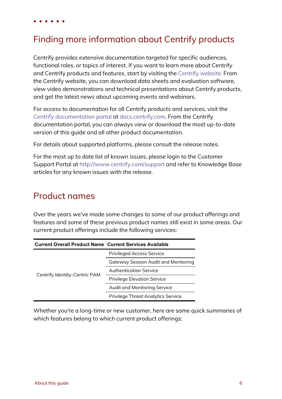# <span id="page-5-0"></span>Finding more information about Centrify products

Centrify provides extensive documentation targeted for specific audiences, functional roles, or topics of interest. If you want to learn more about Centrify and Centrify products and features, start by visiting the [Centrify](https://www.centrify.com/solutions/) website. From the Centrify website, you can download data sheets and evaluation software, view video demonstrations and technical presentations about Centrify products, and get the latest news about upcoming events and webinars.

For access to documentation for all Centrify products and services, visit the Centrify [documentation](https://docs.centrify.com/Content/02-navigation-pages/HOME-centrify-docs.htm) portal at [docs.centrify.com](https://docs.centrify.com/). From the Centrify documentation portal, you can always view or download the most up-to-date version of this guide and all other product documentation.

For details about supported platforms, please consult the release notes.

For the most up to date list of known issues, please login to the Customer Support Portal at <http://www.centrify.com/support> and refer to Knowledge Base articles for any known issues with the release.

## <span id="page-5-1"></span>Product names

Over the years we've made some changes to some of our product offerings and features and some of these previous product names still exist in some areas. Our current product offerings include the following services:

| <b>Current Overall Product Name Current Services Available</b> |                                             |
|----------------------------------------------------------------|---------------------------------------------|
|                                                                | <b>Privileged Access Service</b>            |
|                                                                | <b>Gateway Session Audit and Monitoring</b> |
|                                                                | Authentication Service                      |
| Centrify Identity-Centric PAM                                  | <b>Privilege Elevation Service</b>          |
|                                                                | Audit and Monitoring Service                |
|                                                                | <b>Privilege Threat Analytics Service</b>   |

Whether you're a long-time or new customer, here are some quick summaries of which features belong to which current product offerings: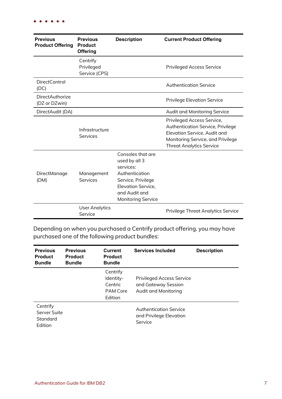| <b>Previous</b><br><b>Product Offering</b> | <b>Previous</b><br><b>Product</b><br><b>Offering</b> | <b>Description</b>                                                                                                                                                 | <b>Current Product Offering</b>                                                                                                                                         |
|--------------------------------------------|------------------------------------------------------|--------------------------------------------------------------------------------------------------------------------------------------------------------------------|-------------------------------------------------------------------------------------------------------------------------------------------------------------------------|
|                                            | Centrify<br>Privileged<br>Service (CPS)              |                                                                                                                                                                    | <b>Privileged Access Service</b>                                                                                                                                        |
| <b>DirectControl</b><br>(DC)               |                                                      |                                                                                                                                                                    | <b>Authentication Service</b>                                                                                                                                           |
| <b>DirectAuthorize</b><br>(DZ or DZwin)    |                                                      |                                                                                                                                                                    | <b>Privilege Elevation Service</b>                                                                                                                                      |
| DirectAudit (DA)                           |                                                      |                                                                                                                                                                    | Audit and Monitoring Service                                                                                                                                            |
|                                            | Infrastructure<br>Services                           |                                                                                                                                                                    | Privileged Access Service,<br>Authentication Service, Privilege<br>Elevation Service, Audit and<br>Monitoring Service, and Privilege<br><b>Threat Analytics Service</b> |
| DirectManage<br>(DM)                       | Management<br>Services                               | Consoles that are<br>used by all 3<br>services:<br>Authentication<br>Service, Privilege<br><b>Elevation Service,</b><br>and Audit and<br><b>Monitoring Service</b> |                                                                                                                                                                         |
|                                            | <b>User Analytics</b><br>Service                     |                                                                                                                                                                    | <b>Privilege Threat Analytics Service</b>                                                                                                                               |

Depending on when you purchased a Centrify product offering, you may have purchased one of the following product bundles:

| <b>Previous</b><br><b>Product</b><br><b>Bundle</b> | <b>Previous</b><br><b>Product</b><br><b>Bundle</b> | <b>Current</b><br><b>Product</b><br><b>Bundle</b>       | <b>Services Included</b>                                                        | <b>Description</b> |
|----------------------------------------------------|----------------------------------------------------|---------------------------------------------------------|---------------------------------------------------------------------------------|--------------------|
|                                                    |                                                    | Centrify<br>Identity-<br>Centric<br>PAM Core<br>Edition | <b>Privileged Access Service</b><br>and Gateway Session<br>Audit and Monitoring |                    |
| Centrify<br>Server Suite<br>Standard<br>Edition    |                                                    |                                                         | <b>Authentication Service</b><br>and Privilege Elevation<br>Service             |                    |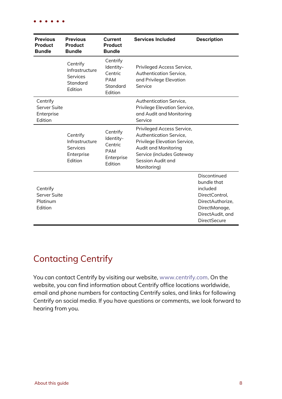| <b>Previous</b><br><b>Product</b><br><b>Bundle</b> | <b>Previous</b><br><b>Product</b><br><b>Bundle</b>                            | <b>Current</b><br><b>Product</b><br><b>Bundle</b>                       | <b>Services Included</b>                                                                                                                                                              | <b>Description</b>                                                                                                                        |
|----------------------------------------------------|-------------------------------------------------------------------------------|-------------------------------------------------------------------------|---------------------------------------------------------------------------------------------------------------------------------------------------------------------------------------|-------------------------------------------------------------------------------------------------------------------------------------------|
|                                                    | Centrify<br>Infrastructure<br><b>Services</b><br>Standard<br>Edition          | Centrify<br>Identity-<br>Centric<br><b>PAM</b><br>Standard<br>Edition   | Privileged Access Service,<br>Authentication Service,<br>and Privilege Elevation<br>Service                                                                                           |                                                                                                                                           |
| Centrify<br>Server Suite<br>Enterprise<br>Edition  |                                                                               |                                                                         | Authentication Service,<br>Privilege Elevation Service,<br>and Audit and Monitoring<br>Service                                                                                        |                                                                                                                                           |
|                                                    | Centrify<br>Infrastructure<br><b>Services</b><br>Enterprise<br><b>Fdition</b> | Centrify<br>Identity-<br>Centric<br><b>PAM</b><br>Enterprise<br>Edition | Privileged Access Service,<br><b>Authentication Service,</b><br>Privilege Elevation Service,<br>Audit and Monitoring<br>Service (includes Gateway<br>Session Audit and<br>Monitoring) |                                                                                                                                           |
| Centrify<br>Server Suite<br>Platinum<br>Edition    |                                                                               |                                                                         |                                                                                                                                                                                       | Discontinued<br>bundle that<br>included<br>DirectControl,<br>DirectAuthorize,<br>DirectManage,<br>DirectAudit, and<br><b>DirectSecure</b> |

# <span id="page-7-0"></span>Contacting Centrify

You can contact Centrify by visiting our website, [www.centrify.com](https://www.centrify.com/). On the website, you can find information about Centrify office locations worldwide, email and phone numbers for contacting Centrify sales, and links for following Centrify on social media. If you have questions or comments, we look forward to hearing from you.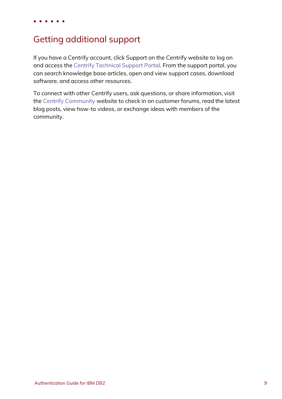# <span id="page-8-0"></span>Getting additional support

If you have a Centrify account, click Support on the Centrify website to log on and access the Centrify [Technical](https://www.centrify.com/account/login.asp?msg=loginrequired&ret=%2Fsupport%2Fportal%2Easp) Support Portal. From the support portal, you can search knowledge base articles, open and view support cases, download software, and access other resources.

To connect with other Centrify users, ask questions, or share information, visit the Centrify [Community](http://community.centrify.com/) website to check in on customer forums, read the latest blog posts, view how-to videos, or exchange ideas with members of the community.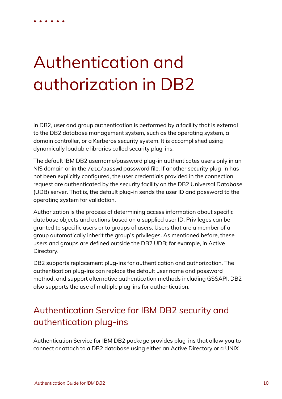# Authentication and authorization in DB2

<span id="page-9-0"></span>• • • • • •

In DB2, user and group authentication is performed by a facility that is external to the DB2 database management system, such as the operating system, a domain controller, or a Kerberos security system. It is accomplished using dynamically loadable libraries called security plug-ins.

The default IBM DB2 username/password plug-in authenticates users only in an NIS domain or in the /etc/passwd password file. If another security plug-in has not been explicitly configured, the user credentials provided in the connection request are authenticated by the security facility on the DB2 Universal Database (UDB) server. That is, the default plug-in sends the user ID and password to the operating system for validation.

Authorization is the process of determining access information about specific database objects and actions based on a supplied user ID. Privileges can be granted to specific users or to groups of users. Users that are a member of a group automatically inherit the group's privileges. As mentioned before, these users and groups are defined outside the DB2 UDB; for example, in Active Directory.

DB2 supports replacement plug-ins for authentication and authorization. The authentication plug-ins can replace the default user name and password method, and support alternative authentication methods including GSSAPI. DB2 also supports the use of multiple plug-ins for authentication.

# <span id="page-9-1"></span>Authentication Service for IBM DB2 security and authentication plug-ins

Authentication Service for IBM DB2 package provides plug-ins that allow you to connect or attach to a DB2 database using either an Active Directory or a UNIX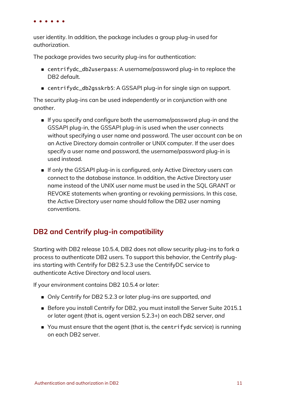user identity. In addition, the package includes a group plug-in used for authorization.

The package provides two security plug-ins for authentication:

- centrifydc\_db2userpass: A username/password plug-in to replace the DB2 default.
- centrifydc\_db2gsskrb5: A GSSAPI plug-in for single sign on support.

The security plug-ins can be used independently or in conjunction with one another.

- n If you specify and configure both the username/password plug-in and the GSSAPI plug-in, the GSSAPI plug-in is used when the user connects without specifying a user name and password. The user account can be on an Active Directory domain controller or UNIX computer. If the user does specify a user name and password, the username/password plug-in is used instead.
- <sup>n</sup> If only the GSSAPI plug-in is configured, only Active Directory users can connect to the database instance. In addition, the Active Directory user name instead of the UNIX user name must be used in the SQL GRANT or REVOKE statements when granting or revoking permissions. In this case, the Active Directory user name should follow the DB2 user naming conventions.

## <span id="page-10-0"></span>**DB2 and Centrify plug-in compatibility**

Starting with DB2 release 10.5.4, DB2 does not allow security plug-ins to fork a process to authenticate DB2 users. To support this behavior, the Centrify plugins starting with Centrify for DB2 5.2.3 use the CentrifyDC service to authenticate Active Directory and local users.

If your environment contains DB2 10.5.4 or later:

- Only Centrify for DB2 5.2.3 or later plug-ins are supported, and
- Before you install Centrify for DB2, you must install the Server Suite 2015.1 or later agent (that is, agent version 5.2.3+) on each DB2 server, *and*
- n You must ensure that the agent (that is, the centrifydc service) is running on each DB2 server.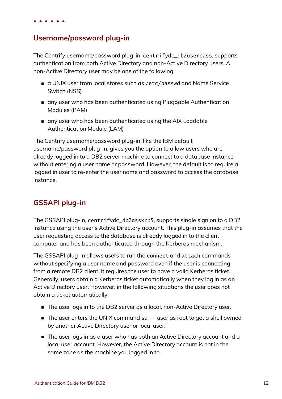## <span id="page-11-0"></span>**Username/password plug-in**

The Centrify username/password plug-in, centrifydc\_db2userpass, supports authentication from both Active Directory and non-Active Directory users. A non-Active Directory user may be one of the following:

- a UNIX user from local stores such as /etc/passwd and Name Service Switch (NSS)
- n any user who has been authenticated using Pluggable Authentication Modules (PAM)
- n any user who has been authenticated using the AIX Loadable Authentication Module (LAM)

The Centrify username/password plug-in, like the IBM default username/password plug-in, gives you the option to allow users who are already logged in to a DB2 server machine to connect to a database instance without entering a user name or password. However, the default is to require a logged in user to re-enter the user name and password to access the database instance.

## <span id="page-11-1"></span>**GSSAPI plug-in**

The GSSAPI plug-in, centrifydc\_db2gsskrb5, supports single sign on to a DB2 instance using the user's Active Directory account. This plug-in assumes that the user requesting access to the database is already logged in to the client computer and has been authenticated through the Kerberos mechanism.

The GSSAPI plug-in allows users to run the connect and attach commands without specifying a user name and password even if the user is connecting from a remote DB2 client. It requires the user to have a valid Kerberos ticket. Generally, users obtain a Kerberos ticket automatically when they log in as an Active Directory user. However, in the following situations the user does not obtain a ticket automatically:

- The user logs in to the DB2 server as a local, non-Active Directory user.
- The user enters the UNIX command su user as root to get a shell owned by another Active Directory user or local user.
- $\blacksquare$  The user logs in as a user who has both an Active Directory account and a local user account. However, the Active Directory account is not in the same zone as the machine you logged in to.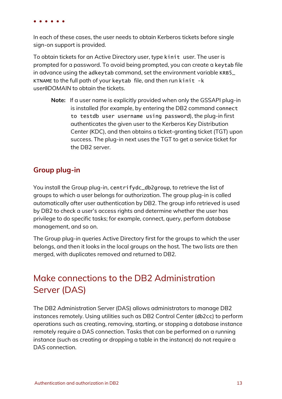In each of these cases, the user needs to obtain Kerberos tickets before single sign-on support is provided.

To obtain tickets for an Active Directory user, type kinit *user*. The user is prompted for a password. To avoid being prompted, you can create a keytab file in advance using the adkeytab command, set the environment variable KRB5\_ KTNAME to the full path of your keytab file, and then run kinit -k *user*@*DOMAIN* to obtain the tickets.

**Note:** If a user name is explicitly provided when only the GSSAPI plug-in is installed (for example, by entering the DB2 command connect to testdb user username using password), the plug-in first authenticates the given user to the Kerberos Key Distribution Center (KDC), and then obtains a ticket-granting ticket (TGT) upon success. The plug-in next uses the TGT to get a service ticket for the DB2 server.

## <span id="page-12-1"></span>**Group plug-in**

You install the Group plug-in, centrifydc\_db2group, to retrieve the list of groups to which a user belongs for authorization. The group plug-in is called automatically after user authentication by DB2. The group info retrieved is used by DB2 to check a user's access rights and determine whether the user has privilege to do specific tasks; for example, connect, query, perform database management, and so on.

The Group plug-in queries Active Directory first for the groups to which the user belongs, and then it looks in the local groups on the host. The two lists are then merged, with duplicates removed and returned to DB2.

# <span id="page-12-0"></span>Make connections to the DB2 Administration Server (DAS)

The DB2 Administration Server (DAS) allows administrators to manage DB2 instances remotely. Using utilities such as DB2 Control Center (db2cc) to perform operations such as creating, removing, starting, or stopping a database instance remotely require a DAS connection. Tasks that can be performed on a running instance (such as creating or dropping a table in the instance) do not require a DAS connection.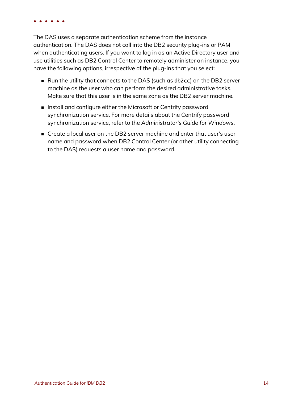The DAS uses a separate authentication scheme from the instance authentication. The DAS does not call into the DB2 security plug-ins or PAM when authenticating users. If you want to log in as an Active Directory user and use utilities such as DB2 Control Center to remotely administer an instance, you have the following options, irrespective of the plug-ins that you select:

- Run the utility that connects to the DAS (such as db2cc) on the DB2 server machine as the user who can perform the desired administrative tasks. Make sure that this user is in the same zone as the DB2 server machine.
- n Install and configure either the Microsoft or Centrify password synchronization service. For more details about the Centrify password synchronization service, refer to the *Administrator's Guide for Windows*.
- n Create a local user on the DB2 server machine and enter that user's user name and password when DB2 Control Center (or other utility connecting to the DAS) requests a user name and password.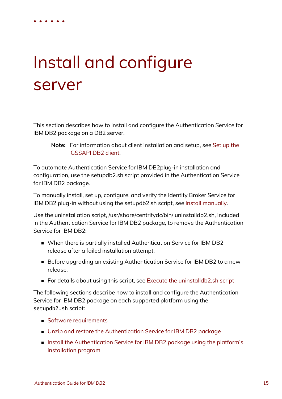# Install and configure server

<span id="page-14-0"></span>• • • • • •

This section describes how to install and configure the Authentication Service for IBM DB2 package on a DB2 server.

#### **Note:** For information about client installation and setup, see [Set](#page-37-0) up the [GSSAPI](#page-37-0) DB2 client.

To automate Authentication Service for IBM DB2plug-in installation and configuration, use the setupdb2.sh script provided in the Authentication Service for IBM DB2 package.

To manually install, set up, configure, and verify the Identity Broker Service for IBM DB2 plug-in without using the setupdb2.sh script, see Install [manually.](#page-26-0)

Use the uninstallation script, /usr/share/centrifydc/bin/ uninstalldb2.sh, included in the Authentication Service for IBM DB2 package, to remove the Authentication Service for IBM DB2:

- When there is partially installed Authentication Service for IBM DB2 release after a failed installation attempt.
- Before upgrading an existing Authentication Service for IBM DB2 to a new release.
- For details about using this script, see Execute the [uninstalldb2.sh](#page-42-1) script

The following sections describe how to install and configure the Authentication Service for IBM DB2 package on each supported platform using the setupdb2.sh script:

- $\blacksquare$  Software [requirements](#page-15-0)
- Unzip and restore the [Authentication](#page-15-1) Service for IBM DB2 package
- Install the [Authentication](#page-17-0) Service for IBM DB2 package using the platform's [installation](#page-17-0) program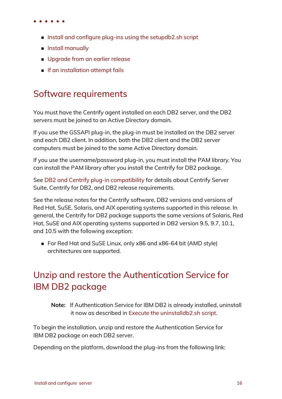- $\blacksquare$  Install and configure plug-ins using the [setupdb2.sh](#page-18-0) script
- **n** Install [manually](#page-26-0)
- **Deparade from an earlier release**
- <span id="page-15-0"></span> $\blacksquare$  If an [installation](#page-36-0) attempt fails

## Software requirements

You must have the Centrify agent installed on each DB2 server, and the DB2 servers must be joined to an Active Directory domain.

If you use the GSSAPI plug-in, the plug-in must be installed on the DB2 server and each DB2 client. In addition, both the DB2 client and the DB2 server computers must be joined to the same Active Directory domain.

If you use the username/password plug-in, you must install the PAM library. You can install the PAM library after you install the Centrify for DB2 package.

See DB2 and Centrify plug-in [compatibility](#page-10-0) for details about Centrify Server Suite, Centrify for DB2, and DB2 release requirements.

See the release notes for the Centrify software, DB2 versions and versions of Red Hat, SuSE, Solaris, and AIX operating systems supported in this release. In general, the Centrify for DB2 package supports the same versions of Solaris, Red Hat, SuSE and AIX operating systems supported in DB2 version 9.5, 9.7, 10.1, and 10.5 with the following exception:

■ For Red Hat and SuSE Linux, only x86 and x86-64 bit (AMD style) architectures are supported.

# <span id="page-15-1"></span>Unzip and restore the Authentication Service for IBM DB2 package

**Note:** If Authentication Service for IBM DB2 is already installed, uninstall it now as described in Execute the [uninstalldb2.sh](#page-42-1) script.

To begin the installation, unzip and restore the Authentication Service for IBM DB2 package on each DB2 server.

Depending on the platform, download the plug-ins from the following link: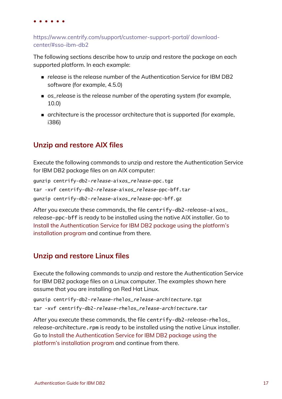[https://www.centrify.com/support/customer-support-portal/](https://www.centrify.com/support/customer-support-portal/ download-center/#sso-ibm-db2) download[center/#sso-ibm-db2](https://www.centrify.com/support/customer-support-portal/ download-center/#sso-ibm-db2)

The following sections describe how to unzip and restore the package on each supported platform. In each example:

- n *release* is the release number of the Authentication Service for IBM DB2 software (for example, 4.5.0)
- n *os\_release* is the release number of the operating system (for example, 10.0)
- n *architecture* is the processor architecture that is supported (for example, i386)

## **Unzip and restore AIX files**

Execute the following commands to unzip and restore the Authentication Service for IBM DB2 package files on an AIX computer:

gunzip centrify-db2-release-aixos\_release-ppc.tgz tar -xvf centrify-db2-release-aixos\_release-ppc-bff.tar gunzip centrify-db2-release-aixos\_release-ppc-bff.gz

After you execute these commands, the file centrify-db2-*release*-aix*os\_ release*-ppc-bff is ready to be installed using the native AIX installer. Go to Install the [Authentication](#page-17-0) Service for IBM DB2 package using the platform's [installation](#page-17-0) program and continue from there.

## **Unzip and restore Linux files**

Execute the following commands to unzip and restore the Authentication Service for IBM DB2 package files on a Linux computer. The examples shown here assume that you are installing on Red Hat Linux.

```
gunzip centrify-db2-release-rhelos_release-architecture.tgz
tar -xvf centrify-db2-release-rhelos_release-architecture.tar
```
After you execute these commands, the file centrify-db2-*release-*rhel*os\_* release-architecture. rpm is ready to be installed using the native Linux installer. Go to Install the [Authentication](#page-17-0) Service for IBM DB2 package using the platform's [installation](#page-17-0) program and continue from there.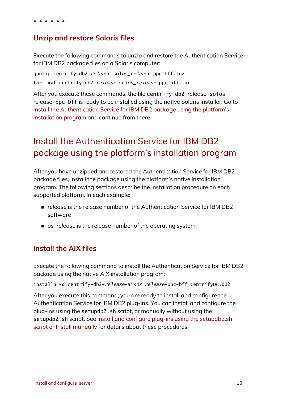### **Unzip and restore Solaris files**

Execute the following commands to unzip and restore the Authentication Service for IBM DB2 package files on a Solaris computer:

gunzip centrify-db2-release-solos\_release-ppc-bff.tgz tar -xvf centrify-db2-release-solos\_release-ppc-bff.tar

After you execute these commands, the file centrify-db2-release-solos\_ release-ppc-bff is ready to be installed using the native Solaris installer. Go to Install the [Authentication](#page-17-0) Service for IBM DB2 package using the platform's [installation](#page-17-0) program and continue from there.

# <span id="page-17-0"></span>Install the Authentication Service for IBM DB2 package using the platform's installation program

After you have unzipped and restored the Authentication Service for IBM DB2 package files, install the package using the platform's native installation program. The following sections describe the installation procedure on each supported platform. In each example:

- <sup>n</sup> *release* is the release number of the Authentication Service for IBM DB2 software
- **n** os release is the release number of the operating system.

### **Install the AIX files**

Execute the following command to install the Authentication Service for IBM DB2 package using the native AIX installation program:

installp -d centrify-db2-release-aixos\_release-ppc-bff CentrifyDC.db2

After you execute this command, you are ready to install and configure the Authentication Service for IBM DB2 plug-ins. You can install and configure the plug-ins using the setupdb2.sh script, or manually without using the setupdb2.sh script. See Install and configure plug-ins using the [setupdb2.sh](#page-18-0) [script](#page-18-0) or Install [manually](#page-26-0) for details about these procedures.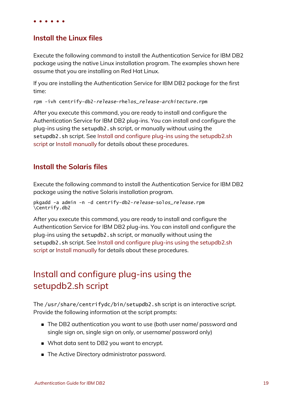### **Install the Linux files**

Execute the following command to install the Authentication Service for IBM DB2 package using the native Linux installation program. The examples shown here assume that you are installing on Red Hat Linux.

If you are installing the Authentication Service for IBM DB2 package for the first time:

rpm -ivh centrify-db2-release-rhelos\_release-architecture.rpm

After you execute this command, you are ready to install and configure the Authentication Service for IBM DB2 plug-ins. You can install and configure the plug-ins using the setupdb2.sh script, or manually without using the setupdb2.sh script. See Install and configure plug-ins using the [setupdb2.sh](#page-18-0) [script](#page-18-0) or Install [manually](#page-26-0) for details about these procedures.

### **Install the Solaris files**

Execute the following command to install the Authentication Service for IBM DB2 package using the native Solaris installation program.

```
pkgadd -a admin -n -d centrify-db2-release-solos_release.rpm
\Centrify.db2
```
After you execute this command, you are ready to install and configure the Authentication Service for IBM DB2 plug-ins. You can install and configure the plug-ins using the setupdb2.sh script, or manually without using the setupdb2.sh script. See Install and configure plug-ins using the [setupdb2.sh](#page-18-0) [script](#page-18-0) or Install [manually](#page-26-0) for details about these procedures.

# <span id="page-18-0"></span>Install and configure plug-ins using the setupdb2.sh script

The /usr/share/centrifydc/bin/setupdb2.sh script is an interactive script. Provide the following information at the script prompts:

- n The DB2 authentication you want to use (both user name/ password and single sign on, single sign on only, or username/ password only)
- What data sent to DB2 you want to encrypt.
- The Active Directory administrator password.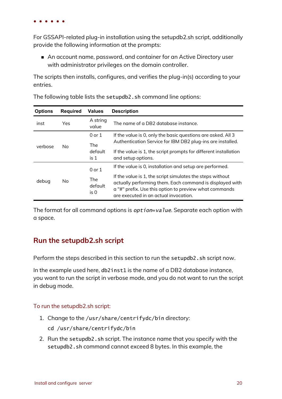For GSSAPI-related plug-in installation using the setupdb2.sh script, additionally provide the following information at the prompts:

■ An account name, password, and container for an Active Directory user with administrator privileges on the domain controller.

The scripts then installs, configures, and verifies the plug-in(s) according to your entries.

| <b>Options</b> | <b>Required</b> | <b>Values</b>                 | <b>Description</b>                                                                                                                                                                                                       |
|----------------|-----------------|-------------------------------|--------------------------------------------------------------------------------------------------------------------------------------------------------------------------------------------------------------------------|
| inst           | Yes.            | A string<br>value             | The name of a DB2 database instance.                                                                                                                                                                                     |
| verbose        | No.             | $0$ or $1$<br><b>The</b>      | If the value is 0, only the basic questions are asked. All 3<br>Authentication Service for IBM DB2 plug-ins are installed.                                                                                               |
|                |                 | default<br>is <sub>1</sub>    | If the value is 1, the script prompts for different installation<br>and setup options.                                                                                                                                   |
| debug          | No.             | $0$ or $1$                    | If the value is 0, installation and setup are performed.                                                                                                                                                                 |
|                |                 | <b>The</b><br>default<br>is 0 | If the value is 1, the script simulates the steps without<br>actually performing them. Each command is displayed with<br>a "#" prefix. Use this option to preview what commands<br>are executed in an actual invocation. |

The following table lists the setupdb2.sh command line options:

The format for all command options is *option=value*. Separate each option with a space.

### **Run the setupdb2.sh script**

Perform the steps described in this section to run the setupdb2.sh script now.

In the example used here, db2inst1 is the name of a DB2 database instance, you want to run the script in verbose mode, and you do not want to run the script in debug mode.

#### To run the setupdb2.sh script:

- 1. Change to the /usr/share/centrifydc/bin directory:
	- cd /usr/share/centrifydc/bin
- 2. Run the setupdb2.sh script. The instance name that you specify with the setupdb2.sh command cannot exceed 8 bytes. In this example, the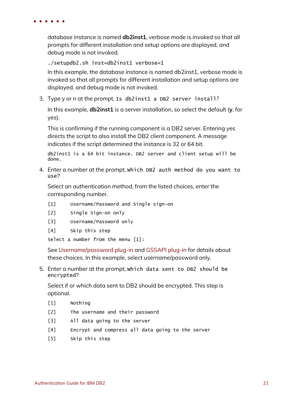database instance is named **db2inst1**, verbose mode is invoked so that all prompts for different installation and setup options are displayed, and debug mode is not invoked.

./setupdb2.sh inst=db2inst1 verbose=1

In this example, the database instance is named db2inst1, verbose mode is invoked so that all prompts for different installation and setup options are displayed, and debug mode is not invoked.

3. Type y or n at the prompt, Is db2inst1 a DB2 server install?

In this example, **db2inst1** is a server installation, so select the default (**y**, for yes).

This is confirming if the running component is a DB2 server. Entering yes directs the script to also install the DB2 client component. A message indicates if the script determined the instance is 32 or 64 bit.

db2inst1 is a 64 bit instance. DB2 server and client setup will be done.

4. Enter a number at the prompt, Which DB2 auth method do you want to use?

Select an authentication method, from the listed choices, enter the corresponding number.

- [1] Username/Password and Single sign-on
- [2] Single Sign-on only
- [3] Username/Password only
- [4] Skip this step

Select a number from the menu [1]:

See [Username/password](#page-11-0) plug-in and [GSSAPI](#page-11-1) plug-in for details about these choices. In this example, select username/password only.

5. Enter a number at the prompt, Which data sent to DB2 should be encrypted?

Select if or which data sent to DB2 should be encrypted. This step is optional.

- [1] Nothing
- [2] The username and their password
- [3] All data going to the server
- [4] Encrypt and compress all data going to the server
- [5] Skip this step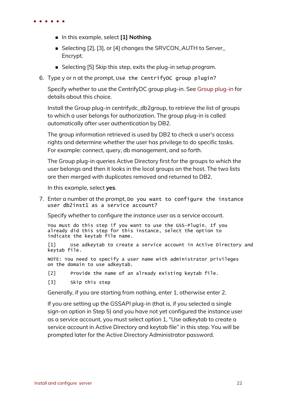- n In this example, select **[1] Nothing**.
- Selecting [2], [3], or [4] changes the SRVCON\_AUTH to Server\_ Encrypt.
- Selecting [5] Skip this step, exits the plug-in setup program.
- 6. Type y or n at the prompt, Use the CentrifyDC group plugin?

Specify whether to use the CentrifyDC group plug-in. See Group [plug-in](#page-12-1) for details about this choice.

Install the Group plug-in centrifydc\_db2group, to retrieve the list of groups to which a user belongs for authorization. The group plug-in is called automatically after user authentication by DB2.

The group information retrieved is used by DB2 to check a user's access rights and determine whether the user has privilege to do specific tasks. For example: connect, query, db management, and so forth.

The Group plug-in queries Active Directory first for the groups to which the user belongs and then it looks in the local groups on the host. The two lists are then merged with duplicates removed and returned to DB2.

In this example, select **yes**.

7. Enter a number at the prompt, Do you want to configure the instance user db2inst1 as a service account?

Specify whether to configure the instance user as a service account.

You must do this step if you want to use the GSS-Plugin. If you already did this step for this instance, select the option to indicate the keytab file name.

[1] Use adkeytab to create a service account in Active Directory and keytab file.

NOTE: You need to specify a user name with administrator privileges on the domain to use adkeytab.

- [2] Provide the name of an already existing keytab file.
- [3] Skip this step

Generally, if you are starting from nothing, enter 1, otherwise enter 2.

If you are setting up the GSSAPI plug-in (that is, if you selected a single sign-on option in Step 5) and you have not yet configured the instance user as a service account, you must select option 1, "Use adkeytab to create a service account in Active Directory and keytab file" in this step. You will be prompted later for the Active Directory Administrator password.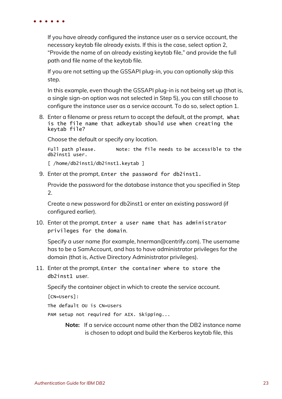If you have already configured the instance user as a service account, the necessary keytab file already exists. If this is the case, select option 2, "Provide the name of an already existing keytab file," and provide the full path and file name of the keytab file.

If you are not setting up the GSSAPI plug-in, you can optionally skip this step.

In this example, even though the GSSAPI plug-in is not being set up (that is, a single sign-on option was not selected in Step 5), you can still choose to configure the instance user as a service account. To do so, select option 1.

8. Enter a filename or press return to accept the default, at the prompt, What is the file name that adkeytab should use when creating the keytab file?

Choose the default or specify any location.

Full path please. Note: the file needs to be accessible to the db2inst1 user.

[ /home/db2inst1/db2inst1.keytab ]

9. Enter at the prompt, Enter the password for db2inst1.

Provide the password for the database instance that you specified in Step 2.

Create a new password for db2inst1 or enter an existing password (if configured earlier).

10. Enter at the prompt, Enter a user name that has administrator privileges for the domain.

Specify a user name (for example, hnerman@centrify.com). The username has to be a SamAccount, and has to have administrator privileges for the domain (that is, Active Directory Administrator privileges).

11. Enter at the prompt, Enter the container where to store the db2inst1 user.

Specify the container object in which to create the service account.

[CN=Users]:

The default OU is CN=Users

PAM setup not required for AIX. Skipping...

**Note:** If a service account name other than the DB2 instance name is chosen to adopt and build the Kerberos keytab file, this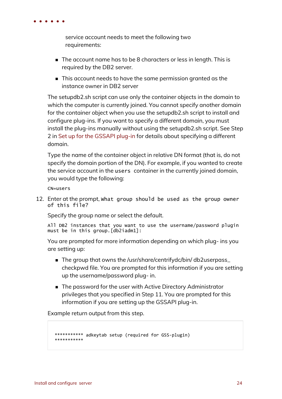

service account needs to meet the following two requirements:

- The account name has to be 8 characters or less in length. This is required by the DB2 server.
- n This account needs to have the same permission granted as the instance owner in DB2 server

The setupdb2.sh script can use only the container objects in the domain to which the computer is currently joined. You cannot specify another domain for the container object when you use the setupdb2.sh script to install and configure plug-ins. If you want to specify a different domain, you must install the plug-ins manually without using the setupdb2.sh script. See Step 2 in Set up for the [GSSAPI](#page-30-0) plug-in for details about specifying a different domain.

Type the name of the container object in relative DN format (that is, do not specify the domain portion of the DN). For example, if you wanted to create the service account in the users container in the currently joined domain, you would type the following:

CN=users

12. Enter at the prompt, What group should be used as the group owner of this file?

Specify the group name or select the default.

All DB2 instances that you want to use the username/password plugin must be in this group.[db2iadm1]:

You are prompted for more information depending on which plug- ins you are setting up:

- The group that owns the /usr/share/centrifydc/bin/ db2userpass\_ checkpwd file. You are prompted for this information if you are setting up the username/password plug- in.
- The password for the user with Active Directory Administrator privileges that you specified in Step 11. You are prompted for this information if you are setting up the GSSAPI plug-in.

Example return output from this step.

```
*********** adkeytab setup (required for GSS-plugin)
***********
```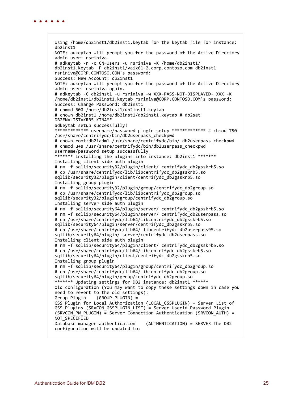Using /home/db2inst1/db2inst1.keytab for the keytab file for instance: db2inst1 NOTE: adkeytab will prompt you for the password of the Active Directory admin user: rsriniva. # adkeytab -n -c CN=Users -u rsriniva -K /home/db2inst1/ db2inst1.keytab -P db2inst1/vaix61-2.corp.contoso.com db2inst1 rsriniva@CORP.CONTOSO.COM's password: Success: New Account: db2inst1 NOTE: adkeytab will prompt you for the password of the Active Directory admin user: rsriniva again. # adkeytab -C db2inst1 -u rsriniva -w XXX-PASS-NOT-DISPLAYED- XXX -K /home/db2inst1/db2inst1.keytab rsriniva@CORP.CONTOSO.COM's password: Success: Change Password: db2inst1 # chmod 600 /home/db2inst1/db2inst1.keytab # chown db2inst1 /home/db2inst1/db2inst1.keytab # db2set DB2ENVLIST=KRB5\_KTNAME adkeytab setup successfully! \*\*\*\*\*\*\*\*\*\*\*\*\* username/password plugin setup \*\*\*\*\*\*\*\*\*\*\*\*\* # chmod 750 /usr/share/centrifydc/bin/db2userpass\_checkpwd # chown root:db2iadm1 /usr/share/centrifydc/bin/ db2userpass\_checkpwd # chmod u+s /usr/share/centrifydc/bin/db2userpass\_checkpwd username/password setup successfully \*\*\*\*\*\*\* Installing the plugins into instance: db2inst1 \*\*\*\*\*\*\* Installing client side auth plugin # rm -f sqllib/security32/plugin/client/ centrifydc\_db2gsskrb5.so # cp /usr/share/centrifydc/lib/libcentrifydc\_db2gsskrb5.so sqllib/security32/plugin/client/centrifydc\_db2gsskrb5.so Installing group plugin # rm -f sqllib/security32/plugin/group/centrifydc\_db2group.so # cp /usr/share/centrifydc/lib/libcentrifydc\_db2group.so sqllib/security32/plugin/group/centrifydc\_db2group.so Installing server side auth plugin # rm -f sqllib/security64/plugin/server/ centrifydc\_db2gsskrb5.so # rm -f sqllib/security64/plugin/server/ centrifydc\_db2userpass.so # cp /usr/share/centrifydc/lib64/libcentrifydc\_db2gsskrb5.so sqllib/security64/plugin/server/centrifydc\_db2gsskrb5.so # cp /usr/share/centrifydc/lib64/ libcentrifydc\_db2userpass95.so sqllib/security64/plugin/ server/centrifydc\_db2userpass.so Installing client side auth plugin # rm -f sqllib/security64/plugin/client/ centrifydc\_db2gsskrb5.so # cp /usr/share/centrifydc/lib64/libcentrifydc\_db2gsskrb5.so sqllib/security64/plugin/client/centrifydc\_db2gsskrb5.so Installing group plugin # rm -f sqllib/security64/plugin/group/centrifydc\_db2group.so # cp /usr/share/centrifydc/lib64/libcentrifydc\_db2group.so sqllib/security64/plugin/group/centrifydc\_db2group.so \*\*\*\*\*\*\* Updating settings for DB2 instance: db2inst1 \*\*\*\*\*\* Old configuration (You may want to copy these settings down in case you need to revert to the old settings): Group Plugin (GROUP PLUGIN) = GSS Plugin for Local Authorization (LOCAL\_GSSPLUGIN) = Server List of GSS Plugins (SRVCON GSSPLUGIN LIST) = Server Userid-Password Plugin  $(SRVCON$  PW PLUGIN) = Server Connection Authentication (SRVCON\_AUTH) = NOT\_SPECIFIED<br>Database manager authentication (AUTHENTICATION) = SERVER The DB2 configuration will be updated to: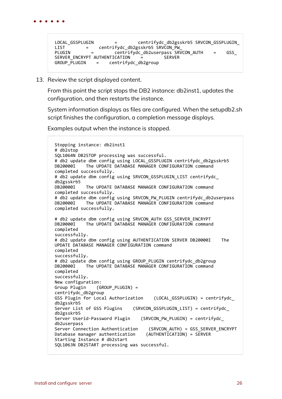```
LOCAL_GSSPLUGIN        =        centrifydc_db2gsskrb5 SRVCON_GSSPLUGIN_
LIST        =    centrifydc_db2gsskrb5 SRVCON_PW_
                 PLUGIN        =        centrifydc_db2userpass SRVCON_AUTH    =    GSS_
SERVER ENCRYPT AUTHENTICATION
GROUP PLUGIN = centrifydc db2group
```
13. Review the script displayed content.

From this point the script stops the DB2 instance: db2inst1, updates the configuration, and then restarts the instance.

System information displays as files are configured. When the setupdb2.sh script finishes the configuration, a completion message displays.

Examples output when the instance is stopped.

```
Stopping instance: db2inst1
# db2stop
SQL1064N DB2STOP processing was successful.
# db2 update dbm config using LOCAL GSSPLUGIN centrifydc db2gsskrb5
DB20000I    The UPDATE DATABASE MANAGER CONFIGURATION command
completed successfully.
# db2 update dbm config using SRVCON GSSPLUGIN LIST centrifydc
db2gsskrb5
DB20000I The UPDATE DATABASE MANAGER CONFIGURATION command
completed successfully.
# db2 update dbm config using SRVCON PW PLUGIN centrifydc db2userpass
DB20000I The UPDATE DATABASE MANAGER CONFIGURATION command
completed successfully.
# db2 update dbm config using SRVCON_AUTH GSS_SERVER_ENCRYPT
            The UPDATE DATABASE MANAGER CONFIGURATION command
completed
successfully.
# db2 update dbm config using AUTHENTICATION SERVER DB20000I    The
UPDATE DATABASE MANAGER CONFIGURATION command
completed
successfully.
# db2 update dbm config using GROUP_PLUGIN centrifydc_db2group
            The UPDATE DATABASE MANAGER CONFIGURATION command
completed
successfully.
New configuration:<br>Group Plugin (G
               (GROUP PLUGIN) =
centrifydc_db2group
GSS Plugin for Local Authorization (LOCAL GSSPLUGIN) = centrifydc
db2gsskrb5
Server List of GSS Plugins    (SRVCON GSSPLUGIN LIST) = centrifydc
db2gsskrb5
Server Userid-Password Plugin    (SRVCON_PW_PLUGIN) = centrifydc_
db2userpass<br>Server Connection Authentication
                                    (SRVCON_AUTH) = GSS_SERVER_ENCRYPT<br>(AUTHENTICATION) = SERVER
Database manager authentication
Starting Instance # db2start
SQL1063N DB2START processing was successful.
```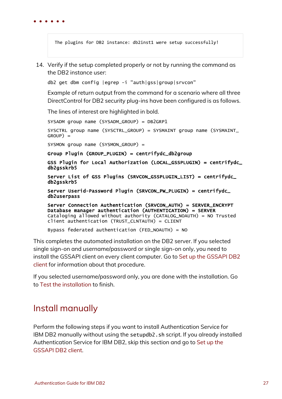The plugins for DB2 instance: db2inst1 were setup successfully!

14. Verify if the setup completed properly or not by running the command as the DB2 instance user:

db2 get dbm config |egrep -i "auth|gss|group|srvcon"

Example of return output from the command for a scenario where all three DirectControl for DB2 security plug-ins have been configured is as follows.

The lines of interest are highlighted in bold.

SYSADM group name (SYSADM\_GROUP) = DB2GRP1 SYSCTRL group name (SYSCTRL\_GROUP) = SYSMAINT group name (SYSMAINT\_ GROUP) = SYSMON group name (SYSMON\_GROUP) = Group Plugin (GROUP\_PLUGIN) = centrifydc\_db2group GSS Plugin for Local Authorization (LOCAL\_GSSPLUGIN) = centrifydc\_ db2gsskrb5 Server List of GSS Plugins (SRVCON\_GSSPLUGIN\_LIST) = centrifydc\_ db2gsskrb5 Server Userid-Password Plugin (SRVCON\_PW\_PLUGIN) = centrifydc\_ db2userpass Server Connection Authentication (SRVCON\_AUTH) = SERVER\_ENCRYPT Database manager authentication (AUTHENTICATION) = SERVER Cataloging allowed without authority (CATALOG\_NOAUTH) = NO Trusted client authentication (TRUST\_CLNTAUTH) = CLIENT Bypass federated authentication (FED\_NOAUTH) = NO

This completes the automated installation on the DB2 server. If you selected single sign-on and username/password or single sign-on only, you need to install the GSSAPI client on every client computer. Go to Set up the [GSSAPI](#page-37-0) DB2 [client](#page-37-0) for information about that procedure.

If you selected username/password only, you are done with the installation. Go to Test the [installation](#page-40-0) to finish.

## <span id="page-26-0"></span>Install manually

Perform the following steps if you want to install Authentication Service for IBM DB2 manually without using the setupdb2.sh script. If you already installed Authentication Service for IBM DB2, skip this section and go to [Set](#page-37-0) up the [GSSAPI](#page-37-0) DB2 client.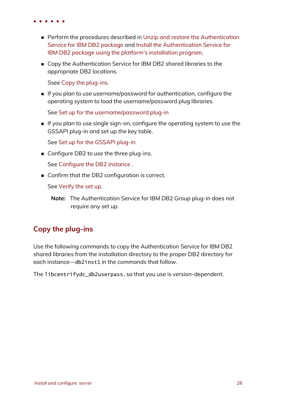- - Perform the procedures described in Unzip and restore the [Authentication](#page-15-1) Service for [IBM DB2](#page-15-1) package and Install the [Authentication](#page-17-0) Service for IBM DB2 package using the platform's [installation](#page-17-0) program.
	- Copy the Authentication Service for IBM DB2 shared libraries to the appropriate DB2 locations.

Ssee Copy the [plug-ins](#page-27-0).

n If you plan to use username/password for authentication, configure the operating system to load the username/password plug libraries.

See Set up for the [username/password](#page-28-0) plug-in

n If you plan to use single sign-on, configure the operating system to use the GSSAPI plug-in and set up the key table.

See Set up for the [GSSAPI](#page-30-0) plug-in

 $\blacksquare$  Configure DB2 to use the three plug-ins.

See [Configure](#page-33-0) the DB2 instance .

■ Confirm that the DB2 configuration is correct.

See [Verify](#page-35-1) the set up.

## <span id="page-27-0"></span>**Copy the plug-ins**

Use the following commands to copy the Authentication Service for IBM DB2 shared libraries from the installation directory to the proper DB2 directory for each instance—db2inst1 in the commands that follow.

The libcentrifydc\_db2userpass.so that you use is version-dependent.

**Note:** The Authentication Service for IBM DB2 Group plug-in does not require any set up.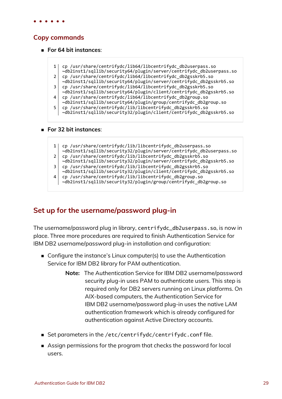### **Copy commands**

- n **For 64 bit instances**:
	- 1 cp /usr/share/centrifydc/lib64/libcentrifydc db2userpass.so ~db2inst1/sqllib/security64/plugin/server/centrifydc\_db2userpass.so
	- 2 cp /usr/share/centrifydc/lib64/libcentrifydc db2gsskrb5.so
	- ~db2inst1/sqllib/security64/plugin/server/centrifydc\_db2gsskrb5.so
	- 3 cp /usr/share/centrifydc/lib64/libcentrifydc\_db2gsskrb5.so
	- ~db2inst1/sqllib/security64/plugin/client/centrifydc\_db2gsskrb5.so 4 cp /usr/share/centrifydc/lib64/libcentrifydc db2group.so
		- ~db2inst1/sqllib/security64/plugin/group/centrifydc\_db2group.so
	- 5 cp /usr/share/centrifydc/lib/libcentrifydc\_db2gsskrb5.so
		- ~db2inst1/sqllib/security32/plugin/client/centrifydc\_db2gsskrb5.so

#### n **For 32 bit instances**:

- 1 cp /usr/share/centrifydc/lib/libcentrifydc\_db2userpass.so ~db2inst1/sqllib/security32/plugin/server/centrifydc\_db2userpass.so 2 cp /usr/share/centrifydc/lib/libcentrifydc\_db2gsskrb5.so
- ~db2inst1/sqllib/security32/plugin/server/centrifydc\_db2gsskrb5.so
- 3 cp /usr/share/centrifydc/lib/libcentrifydc\_db2gsskrb5.so ~db2inst1/sqllib/security32/plugin/client/centrifydc\_db2gsskrb5.so
- 4 cp /usr/share/centrifydc/lib/libcentrifydc db2group.so
- ~db2inst1/sqllib/security32/plugin/group/centrifydc\_db2group.so

## <span id="page-28-0"></span>**Set up for the username/password plug-in**

The username/password plug in library, centrifydc\_db2userpass.so, is now in place. Three more procedures are required to finish Authentication Service for IBM DB2 username/password plug-in installation and configuration:

- Configure the instance's Linux computer(s) to use the Authentication Service for IBM DB2 library for PAM authentication.
	- **Note:** The Authentication Service for IBM DB2 username/password security plug-in uses PAM to authenticate users. This step is required only for DB2 servers running on Linux platforms. On AIX-based computers, the Authentication Service for IBM DB2 username/password plug-in uses the native LAM authentication framework which is already configured for authentication against Active Directory accounts.
- Set parameters in the /etc/centrifydc/centrifydc.conf file.
- <sup>n</sup> Assign permissions for the program that checks the password for local users.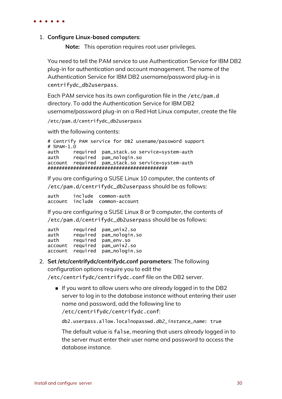#### 1. **Configure Linux-based computers**:

**Note:** This operation requires root user privileges.

You need to tell the PAM service to use Authentication Service for IBM DB2 plug-in for authentication and account management. The name of the Authentication Service for IBM DB2 username/password plug-in is centrifydc\_db2userpass.

Each PAM service has its own configuration file in the /etc/pam.d directory. To add the Authentication Service for IBM DB2 username/password plug-in on a Red Hat Linux computer, create the file

/etc/pam.d/centrifydc\_db2userpass

with the following contents:

# Centrify PAM service for DB2 usename/password support # %PAM-1.0 auth required pam\_stack.so service=system-auth auth required pam\_nologin.so account required pam\_stack.so service=system-auth ##########################################

If you are configuring a SUSE Linux 10 computer, the contents of /etc/pam.d/centrifydc\_db2userpass should be as follows:

auth include common-auth account include common-account

If you are configuring a SUSE Linux 8 or 9 computer, the contents of /etc/pam.d/centrifydc\_db2userpass should be as follows:

| auth    | required | pam_unix2.so   |
|---------|----------|----------------|
| auth    | required | pam_nologin.so |
| auth    | required | pam_env.so     |
| account | required | pam_unix2.so   |
| account | required | pam_nologin.so |

- 2. **Set /etc/centrifydc/centrifydc.conf parameters**: The following configuration options require you to edit the /etc/centrifydc/centrifydc.conf file on the DB2 server.
	- n If you want to allow users who are already logged in to the DB2 server to log in to the database instance without entering their user name and password, add the following line to /etc/centrifydc/centrifydc.conf:

db2.userpass.allow.localnopasswd.db2\_instance\_name: true

The default value is false, meaning that users already logged in to the server must enter their user name and password to access the database instance.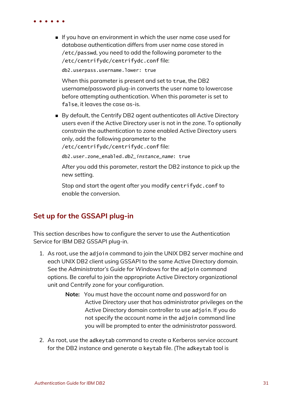n If you have an environment in which the user name case used for database authentication differs from user name case stored in /etc/passwd, you need to add the following parameter to the /etc/centrifydc/centrifydc.conf file:

db2.userpass.username.lower: true

When this parameter is present and set to true, the DB2 username/password plug-in converts the user name to lowercase before attempting authentication. When this parameter is set to false, it leaves the case as-is.

■ By default, the Centrify DB2 agent authenticates all Active Directory users even if the Active Directory user is not in the zone. To optionally constrain the authentication to zone enabled Active Directory users only, add the following parameter to the

/etc/centrifydc/centrifydc.conf file:

db2.user.zone\_enabled.db2\_instance\_name: true

After you add this parameter, restart the DB2 instance to pick up the new setting.

Stop and start the agent after you modify centrifydc.conf to enable the conversion.

### <span id="page-30-0"></span>**Set up for the GSSAPI plug-in**

This section describes how to configure the server to use the Authentication Service for IBM DB2 GSSAPI plug-in.

- 1. As root, use the adjoin command to join the UNIX DB2 server machine and each UNIX DB2 client using GSSAPI to the same Active Directory domain. See the *Administrator's Guide for Windows* for the adjoin command options. Be careful to join the appropriate Active Directory organizational unit and Centrify zone for your configuration.
	- **Note:** You must have the account name and password for an Active Directory user that has administrator privileges on the Active Directory domain controller to use adjoin. If you do not specify the account name in the adjoin command line you will be prompted to enter the administrator password.
- 2. As root, use the adkeytab command to create a Kerberos service account for the DB2 instance and generate a keytab file. (The adkeytab tool is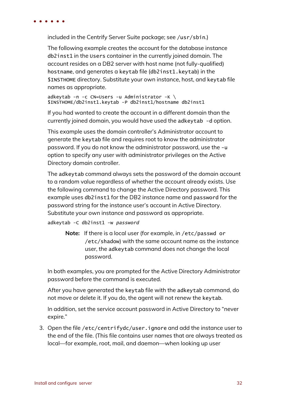included in the Centrify Server Suite package; see /usr/sbin.)

The following example creates the account for the database instance db2inst1 in the Users container in the currently joined domain. The account resides on a DB2 server with host name (not fully-qualified) hostname, and generates a keytab file (db2inst1.keytab) in the \$INSTHOME directory. Substitute your own instance, host, and keytab file names as appropriate.

adkeytab -n -c CN=Users -u Administrator -K \ \$INSTHOME/db2inst1.keytab -P db2inst1/hostname db2inst1

If you had wanted to create the account in a different domain than the currently joined domain, you would have used the adkeytab -d option.

This example uses the domain controller's Administrator account to generate the keytab file and requires root to know the administrator password. If you do not know the administrator password, use the -u option to specify any user with administrator privileges on the Active Directory domain controller.

The adkeytab command always sets the password of the domain account to a random value regardless of whether the account already exists. Use the following command to change the Active Directory password. This example uses db2inst1 for the DB2 instance name and password for the password string for the instance user's account in Active Directory. Substitute your own instance and password as appropriate.

adkeytab -C db2inst1 -w password

**Note:** If there is a local user (for example, in /etc/passwd or /etc/shadow) with the same account name as the instance user, the adkeytab command does not change the local password.

In both examples, you are prompted for the Active Directory Administrator password before the command is executed.

After you have generated the keytab file with the adkeytab command, do not move or delete it. If you do, the agent will not renew the keytab.

In addition, set the service account password in Active Directory to "never expire."

3. Open the file /etc/centrifydc/user.ignore and add the instance user to the end of the file. (This file contains user names that are always treated as local—for example, root, mail, and daemon—when looking up user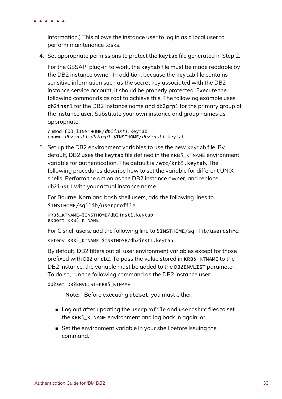information.) This allows the instance user to log in as a local user to perform maintenance tasks.

4. Set appropriate permissions to protect the keytab file generated in Step 2.

For the GSSAPI plug-in to work, the keytab file must be made readable by the DB2 instance owner. In addition, because the keytab file contains sensitive information such as the secret key associated with the DB2 instance service account, it should be properly protected. Execute the following commands as root to achieve this. The following example uses db2inst1 for the DB2 instance name and db2grp1 for the primary group of the instance user. Substitute your own instance and group names as appropriate.

chmod 600 \$INSTHOME/db2inst1.keytab chown db2inst1:db2grp1 \$INSTHOME/db2inst1.keytab

5. Set up the DB2 environment variables to use the new keytab file. By default, DB2 uses the keytab file defined in the KRB5\_KTNAME environment variable for authentication. The default is /etc/krb5.keytab. The following procedures describe how to set the variable for different UNIX shells. Perform the action as the DB2 instance owner, and replace db2inst1 with your actual instance name.

For Bourne, Korn and bash shell users, add the following lines to \$INSTHOME/sqllib/userprofile:

KRB5\_KTNAME=\$INSTHOME/db2inst1.keytab export KRB5\_KTNAME

For C shell users, add the following line to \$INSTHOME/sqllib/usercshrc:

setenv KRB5\_KTNAME \$INSTHOME/db2inst1.keytab

By default, DB2 filters out all user environment variables except for those prefixed with DB2 or db2. To pass the value stored in KRB5\_KTNAME to the DB2 instance, the variable must be added to the DB2ENVLIST parameter. To do so, run the following command as the DB2 instance user:

```
db2set DB2ENVLIST=KRB5_KTNAME
```
**Note:** Before executing db2set, you must either:

- n Log out after updating the userprofile and usercshrc files to set the KRB5\_KTNAME environment and log back in again; or
- Set the environment variable in your shell before issuing the command.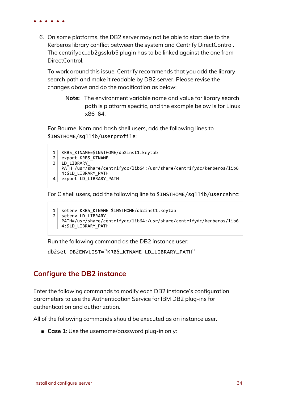

6. On some platforms, the DB2 server may not be able to start due to the Kerberos library conflict between the system and Centrify DirectControl. The centrifydc\_db2gsskrb5 plugin has to be linked against the one from DirectControl.

To work around this issue, Centrify recommends that you add the library search path and make it readable by DB2 server. Please revise the changes above and do the modification as below:

**Note:** The environment variable name and value for library search path is platform specific, and the example below is for Linux x86\_64.

For Bourne, Korn and bash shell users, add the following lines to \$INSTHOME/sqllib/userprofile:

```
1 | KRB5_KTNAME=$INSTHOME/db2inst1.keytab
2 export KRB5 KTNAME
3 LD LIBRARY
  PATH=/usr/share/centrifydc/lib64:/usr/share/centrifydc/kerberos/lib6
   4:$LD_LIBRARY_PATH
4 export LD LIBRARY PATH
```
For C shell users, add the following line to \$INSTHOME/sqllib/usercshrc:

```
1 setenv KRB5_KTNAME $INSTHOME/db2inst1.keytab
2 setenv LD LIBRARY
   PATH=/usr/share/centrifydc/lib64:/usr/share/centrifydc/kerberos/lib6
  4:$LD_LIBRARY_PATH
```
Run the following command as the DB2 instance user:

db2set DB2ENVLIST="KRB5\_KTNAME LD\_LIBRARY\_PATH"

#### <span id="page-33-0"></span>**Configure the DB2 instance**

Enter the following commands to modify each DB2 instance's configuration parameters to use the Authentication Service for IBM DB2 plug-ins for authentication and authorization.

All of the following commands should be executed as an instance user.

■ Case 1: Use the username/password plug-in only: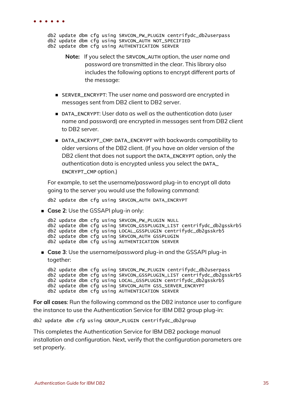db2 update dbm cfg using SRVCON\_PW\_PLUGIN centrifydc\_db2userpass db2 update dbm cfg using SRVCON\_AUTH NOT\_SPECIFIED db2 update dbm cfg using AUTHENTICATION SERVER

- **Note:** If you select the SRVCON\_AUTH option, the user name and password are transmitted in the clear. This library also includes the following options to encrypt different parts of the message:
- SERVER\_ENCRYPT: The user name and password are encrypted in messages sent from DB2 client to DB2 server.
- n DATA\_ENCRYPT: User data as well as the authentication data (user name and password) are encrypted in messages sent from DB2 client to DB2 server.
- DATA\_ENCRYPT\_CMP: DATA\_ENCRYPT with backwards compatibility to older versions of the DB2 client. (If you have an older version of the DB2 client that does not support the DATA\_ENCRYPT option, only the authentication data is encrypted unless you select the DATA\_ ENCRYPT\_CMP option.)

For example, to set the username/password plug-in to encrypt all data going to the server you would use the following command:

db2 update dbm cfg using SRVCON\_AUTH DATA\_ENCRYPT

**Example 2:** Use the GSSAPI plug-in only:

```
db2 update dbm cfg using SRVCON_PW_PLUGIN NULL
db2 update dbm cfg using SRVCON_GSSPLUGIN_LIST centrifydc_db2gsskrb5
db2 update dbm cfg using LOCAL_GSSPLUGIN centrifydc_db2gsskrb5
db2 update dbm cfg using SRVCON_AUTH GSSPLUGIN
db2 update dbm cfg using AUTHENTICATION SERVER
```
<sup>n</sup> **Case 3**: Use the username/password plug-in and the GSSAPI plug-in together:

db2 update dbm cfg using SRVCON\_PW\_PLUGIN centrifydc\_db2userpass db2 update dbm cfg using SRVCON\_GSSPLUGIN\_LIST centrifydc\_db2gsskrb5 db2 update dbm cfg using LOCAL\_GSSPLUGIN centrifydc\_db2gsskrb5 db2 update dbm cfg using SRVCON\_AUTH GSS\_SERVER\_ENCRYPT db2 update dbm cfg using AUTHENTICATION SERVER

**For all cases**: Run the following command as the DB2 instance user to configure the instance to use the Authentication Service for IBM DB2 group plug-in:

db2 update dbm cfg using GROUP\_PLUGIN centrifydc\_db2group

This completes the Authentication Service for IBM DB2 package manual installation and configuration. Next, verify that the configuration parameters are set properly.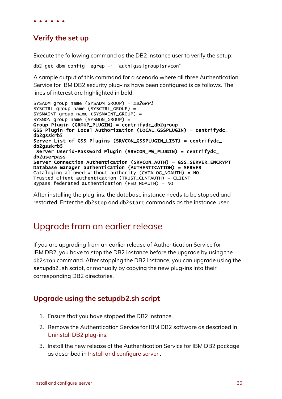### <span id="page-35-1"></span>**Verify the set up**

Execute the following command as the DB2 instance user to verify the setup:

```
db2 get dbm config |egrep -i "auth|gss|group|srvcon"
```
A sample output of this command for a scenario where all three Authentication Service for IBM DB2 security plug-ins have been configured is as follows. The lines of interest are highlighted in bold.

```
SYSADM group name (SYSADM_GROUP) = DB2GRP1
SYSCTRL group name (SYSCTRL_GROUP) =
SYSMAINT group name (SYSMAINT_GROUP) =
SYSMON group name (SYSMON_GROUP) =
Group Plugin (GROUP_PLUGIN) = centrifydc_db2group
GSS Plugin for Local Authorization (LOCAL_GSSPLUGIN) = centrifydc_
db2gsskrb5
Server List of GSS Plugins (SRVCON_GSSPLUGIN_LIST) = centrifydc_
db2gsskrb5
Server Userid-Password Plugin (SRVCON_PW_PLUGIN) = centrifydc_
db2userpass
Server Connection Authentication (SRVCON_AUTH) = GSS_SERVER_ENCRYPT
Database manager authentication (AUTHENTICATION) = SERVER
Cataloging allowed without authority (CATALOG_NOAUTH) = NO
Trusted client authentication (TRUST_CLNTAUTH) = CLIENT
Bypass federated authentication (FED_NOAUTH) = NO
```
After installing the plug-ins, the database instance needs to be stopped and restarted. Enter the db2stop and db2start commands as the instance user.

## <span id="page-35-0"></span>Upgrade from an earlier release

If you are upgrading from an earlier release of Authentication Service for IBM DB2, you have to stop the DB2 instance before the upgrade by using the db2stop command. After stopping the DB2 instance, you can upgrade using the setupdb2.sh script, or manually by copying the new plug-ins into their corresponding DB2 directories.

### **Upgrade using the setupdb2.sh script**

- 1. Ensure that you have stopped the DB2 instance.
- 2. Remove the Authentication Service for IBM DB2 software as described in [Uninstall](#page-42-0) DB2 plug-ins.
- 3. Install the new release of the Authentication Service for IBM DB2 package as described in Install and [configure](#page-14-0) server .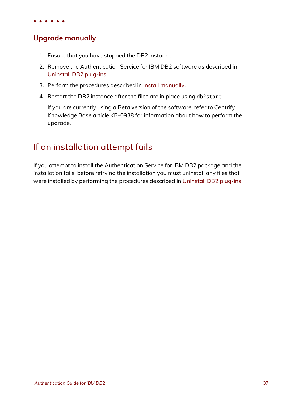## **Upgrade manually**

- 1. Ensure that you have stopped the DB2 instance.
- 2. Remove the Authentication Service for IBM DB2 software as described in [Uninstall](#page-42-0) DB2 plug-ins.
- 3. Perform the procedures described in Install [manually](#page-26-0).
- 4. Restart the DB2 instance after the files are in place using db2start.

If you are currently using a Beta version of the software, refer to Centrify Knowledge Base article KB-0938 for information about how to perform the upgrade.

# <span id="page-36-0"></span>If an installation attempt fails

If you attempt to install the Authentication Service for IBM DB2 package and the installation fails, before retrying the installation you must uninstall any files that were installed by performing the procedures described in [Uninstall](#page-42-0) DB2 plug-ins.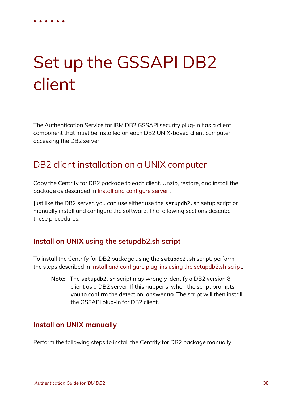# Set up the GSSAPI DB2 client

<span id="page-37-0"></span>• • • • • •

The Authentication Service for IBM DB2 GSSAPI security plug-in has a client component that must be installed on each DB2 UNIX-based client computer accessing the DB2 server.

# <span id="page-37-1"></span>DB2 client installation on a UNIX computer

Copy the Centrify for DB2 package to each client. Unzip, restore, and install the package as described in Install and [configure](#page-14-0) server .

Just like the DB2 server, you can use either use the setupdb2.sh setup script or manually install and configure the software. The following sections describe these procedures.

## **Install on UNIX using the setupdb2.sh script**

To install the Centrify for DB2 package using the setupdb2.sh script, perform the steps described in Install and configure plug-ins using the [setupdb2.sh](#page-18-0) script.

**Note:** The setupdb2.sh script may wrongly identify a DB2 version 8 client as a DB2 server. If this happens, when the script prompts you to confirm the detection, answer **no**. The script will then install the GSSAPI plug-in for DB2 client.

## **Install on UNIX manually**

Perform the following steps to install the Centrify for DB2 package manually.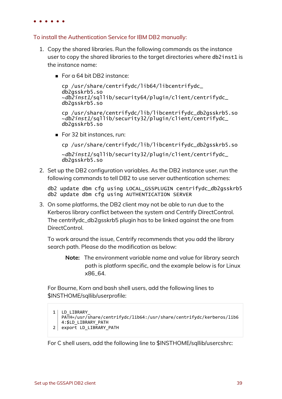#### To install the Authentication Service for IBM DB2 manually:

- 1. Copy the shared libraries. Run the following commands as the instance user to copy the shared libraries to the target directories where db2inst1 is the instance name:
	- For a 64 bit DB2 instance:

cp /usr/share/centrifydc/lib64/libcentrifydc\_ db2gsskrb5.so ~db2inst1/sqllib/security64/plugin/client/centrifydc\_ db2gsskrb5.so

cp /usr/share/centrifydc/lib/libcentrifydc\_db2gsskrb5.so ~db2inst1/sqllib/security32/plugin/client/centrifydc\_ db2gsskrb5.so

 $\blacksquare$  For 32 bit instances, run:

cp /usr/share/centrifydc/lib/libcentrifydc\_db2gsskrb5.so

~db2inst1/sqllib/security32/plugin/client/centrifydc\_ db2gsskrb5.so

2. Set up the DB2 configuration variables. As the DB2 instance user, run the following commands to tell DB2 to use server authentication schemes:

db2 update dbm cfg using LOCAL\_GSSPLUGIN centrifydc\_db2gsskrb5 db2 update dbm cfg using AUTHENTICATION SERVER

3. On some platforms, the DB2 client may not be able to run due to the Kerberos library conflict between the system and Centrify DirectControl. The centrifydc\_db2gsskrb5 plugin has to be linked against the one from DirectControl.

To work around the issue, Centrify recommends that you add the library search path. Please do the modification as below:

**Note:** The environment variable name and value for library search path is platform specific, and the example below is for Linux x86\_64.

For Bourne, Korn and bash shell users, add the following lines to \$INSTHOME/sqllib/userprofile:

```
1 LD LIBRARY
   PATH=/usr/share/centrifydc/lib64:/usr/share/centrifydc/kerberos/lib6
   4:$LD_LIBRARY_PATH
2 export LD LIBRARY PATH
```
For C shell users, add the following line to \$INSTHOME/sqllib/usercshrc: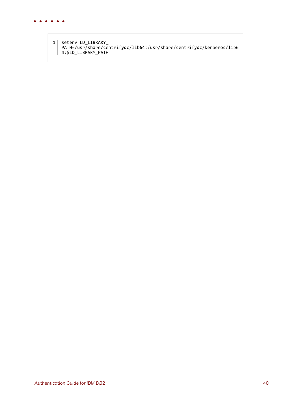

1 setenv LD\_LIBRARY\_ PATH=/usr/share/centrifydc/lib64:/usr/share/centrifydc/kerberos/lib6 4:\$LD\_LIBRARY\_PATH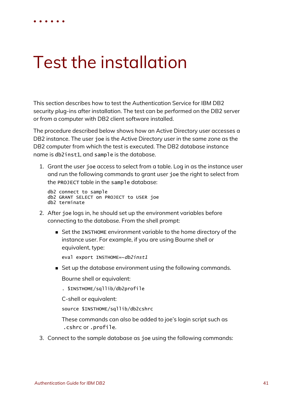# Test the installation

<span id="page-40-0"></span>• • • • • •

This section describes how to test the Authentication Service for IBM DB2 security plug-ins after installation. The test can be performed on the DB2 server or from a computer with DB2 client software installed.

The procedure described below shows how an Active Directory user accesses a DB2 instance. The user joe is the Active Directory user in the same zone as the DB2 computer from which the test is executed. The DB2 database instance name is db2inst1, and sample is the database.

1. Grant the user joe access to select from a table. Log in as the instance user and run the following commands to grant user joe the right to select from the PROJECT table in the sample database:

db2 connect to sample db2 GRANT SELECT on PROJECT to USER joe db2 terminate

- 2. After joe logs in, he should set up the environment variables before connecting to the database. From the shell prompt:
	- Set the INSTHOME environment variable to the home directory of the instance user. For example, if you are using Bourne shell or equivalent, type:

eval export INSTHOME=~db2inst1

■ Set up the database environment using the following commands.

Bourne shell or equivalent:

. \$INSTHOME/sqllib/db2profile

C-shell or equivalent:

source \$INSTHOME/sqllib/db2cshrc

These commands can also be added to joe's login script such as .cshrc or .profile.

3. Connect to the sample database as joe using the following commands: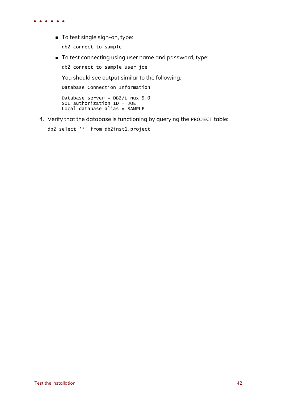- To test single sign-on, type: db2 connect to sample
- $\blacksquare$  To test connecting using user name and password, type:

db2 connect to sample user joe

You should see output similar to the following:

Database Connection Information

Database server = DB2/Linux 9.0 SQL authorization  $ID = JOE$ Local database alias = SAMPLE

4. Verify that the database is functioning by querying the PROJECT table:

```
db2 select '*' from db2inst1.project
```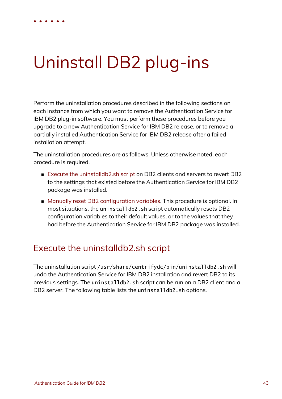# Uninstall DB2 plug-ins

<span id="page-42-0"></span>• • • • • •

Perform the uninstallation procedures described in the following sections on each instance from which you want to remove the Authentication Service for IBM DB2 plug-in software. You must perform these procedures before you upgrade to a new Authentication Service for IBM DB2 release, or to remove a partially installed Authentication Service for IBM DB2 release after a failed installation attempt.

The uninstallation procedures are as follows. Unless otherwise noted, each procedure is required.

- Execute the [uninstalldb2.sh](#page-42-1) script on DB2 clients and servers to revert DB2 to the settings that existed before the Authentication Service for IBM DB2 package was installed.
- Manually reset DB2 [configuration](#page-44-0) variables. This procedure is optional. In most situations, the uninstalldb2.sh script automatically resets DB2 configuration variables to their default values, or to the values that they had before the Authentication Service for IBM DB2 package was installed.

# <span id="page-42-1"></span>Execute the uninstalldb2.sh script

The uninstallation script /usr/share/centrifydc/bin/uninstalldb2.sh will undo the Authentication Service for IBM DB2 installation and revert DB2 to its previous settings. The uninstalldb2.sh script can be run on a DB2 client and a DB2 server. The following table lists the uninstalldb2.sh options.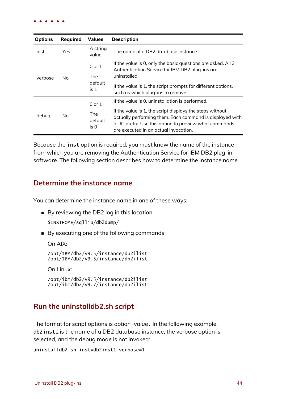| <b>Options</b> | Required | <b>Values</b>                        | <b>Description</b>                                                                                                                                                                                                      |
|----------------|----------|--------------------------------------|-------------------------------------------------------------------------------------------------------------------------------------------------------------------------------------------------------------------------|
| inst           | Yes      | A string<br>value                    | The name of a DB2 database instance.                                                                                                                                                                                    |
| verbose        | No.      | $0$ or $1$<br>The<br>default<br>is 1 | If the value is 0, only the basic questions are asked. All 3<br>Authentication Service for IBM DB2 plug-ins are<br>uninstalled.                                                                                         |
|                |          |                                      | If the value is 1, the script prompts for different options,<br>such as which plug-ins to remove.                                                                                                                       |
| debug          | No.      | $0$ or $1$                           | If the value is 0, uninstallation is performed.                                                                                                                                                                         |
|                |          | The<br>default<br>is 0               | If the value is 1, the script displays the steps without<br>actually performing them. Each command is displayed with<br>a "#" prefix. Use this option to preview what commands<br>are executed in an actual invocation. |

Because the inst option is required, you must know the name of the instance from which you are removing the Authentication Service for IBM DB2 plug-in software. The following section describes how to determine the instance name.

#### **Determine the instance name**

You can determine the instance name in one of these ways:

■ By reviewing the DB2 log in this location:

\$INSTHOME/sqllib/db2dump/

■ By executing one of the following commands:

On AIX:

```
/opt/IBM/db2/V9.5/instance/db2ilist
/opt/IBM/db2/V9.5/instance/db2ilist
```
On Linux:

```
/opt/ibm/db2/V9.5/instance/db2ilist
/opt/ibm/db2/V9.7/instance/db2ilist
```
#### **Run the uninstalldb2.sh script**

The format for script options is *option*=*value*. In the following example, db2inst1 is the name of a DB2 database instance, the verbose option is selected, and the debug mode is not invoked:

```
uninstalldb2.sh inst=db2inst1 verbose=1
```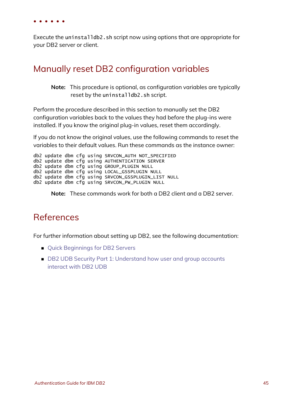Execute the uninstalldb2.sh script now using options that are appropriate for your DB2 server or client.

## <span id="page-44-0"></span>Manually reset DB2 configuration variables

**Note:** This procedure is optional, as configuration variables are typically reset by the uninstalldb2.sh script.

Perform the procedure described in this section to manually set the DB2 configuration variables back to the values they had before the plug-ins were installed. If you know the original plug-in values, reset them accordingly.

If you do not know the original values, use the following commands to reset the variables to their default values. Run these commands as the instance owner:

```
db2 update dbm cfg using SRVCON_AUTH NOT_SPECIFIED
db2 update dbm cfg using AUTHENTICATION SERVER
db2 update dbm cfg using GROUP_PLUGIN NULL
db2 update dbm cfg using LOCAL_GSSPLUGIN NULL
db2 update dbm cfg using SRVCON_GSSPLUGIN_LIST NULL
db2 update dbm cfg using SRVCON_PW_PLUGIN NULL
```
**Note:** These commands work for both a DB2 client and a DB2 server.

## <span id="page-44-1"></span>References

For further information about setting up DB2, see the following documentation:

- Quick [Beginnings](ftp://ftp.software.ibm.com/ps/products/db2/info/vr82/pdf/en_US/db2ise81.pdf) for DB2 Servers
- DB2 UDB Security Part 1: [Understand](http://www.ibm.com/developerworks/data/library/techarticle/dm-0508wasserman/index.html) how user and group accounts [interact](http://www.ibm.com/developerworks/data/library/techarticle/dm-0508wasserman/index.html) with DB2 UDB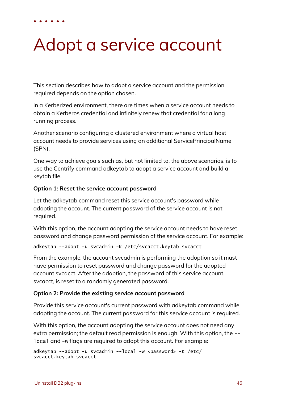# Adopt a service account

This section describes how to adopt a service account and the permission required depends on the option chosen.

In a Kerberized environment, there are times when a service account needs to obtain a Kerberos credential and infinitely renew that credential for a long running process.

Another scenario configuring a clustered environment where a virtual host account needs to provide services using an additional ServicePrincipalName (SPN).

One way to achieve goals such as, but not limited to, the above scenarios, is to use the Centrify command adkeytab to adopt a service account and build a keytab file.

#### **Option 1: Reset the service account password**

<span id="page-45-0"></span>• • • • • •

Let the adkeytab command reset this service account's password while adopting the account. The current password of the service account is not required.

With this option, the account adopting the service account needs to have reset password and change password permission of the service account. For example:

adkeytab --adopt -u svcadmin -K /etc/svcacct.keytab svcacct

From the example, the account svcadmin is performing the adoption so it must have permission to reset password and change password for the adopted account svcacct. After the adoption, the password of this service account, svcacct, is reset to a randomly generated password.

#### **Option 2: Provide the existing service account password**

Provide this service account's current password with adkeytab command while adopting the account. The current password for this service account is required.

With this option, the account adopting the service account does not need any extra permission; the default read permission is enough. With this option, the - local and -w flags are required to adopt this account. For example:

```
adkeytab --adopt -u svcadmin --local -w <password> -K /etc/
svcacct.keytab svcacct
```